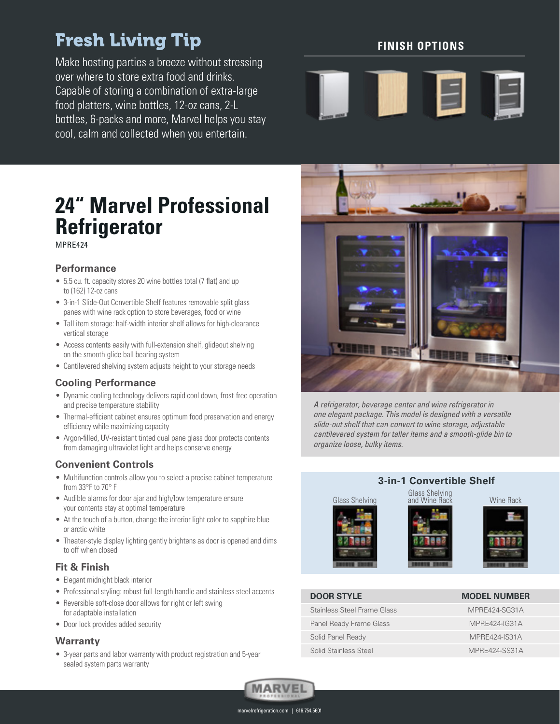# Fresh Living Tip

Make hosting parties a breeze without stressing over where to store extra food and drinks. Capable of storing a combination of extra-large food platters, wine bottles, 12-oz cans, 2-L bottles, 6-packs and more, Marvel helps you stay cool, calm and collected when you entertain.

#### **FINISH OPTIONS**



### **24" Marvel Professional Refrigerator** MPRE424

#### **Performance**

- 5.5 cu. ft. capacity stores 20 wine bottles total (7 flat) and up to (162) 12-oz cans
- 3-in-1 Slide-Out Convertible Shelf features removable split glass panes with wine rack option to store beverages, food or wine
- Tall item storage: half-width interior shelf allows for high-clearance vertical storage
- Access contents easily with full-extension shelf, glideout shelving on the smooth-glide ball bearing system
- Cantilevered shelving system adjusts height to your storage needs

#### **Cooling Performance**

- Dynamic cooling technology delivers rapid cool down, frost-free operation and precise temperature stability
- Thermal-efficient cabinet ensures optimum food preservation and energy efficiency while maximizing capacity
- Argon-filled, UV-resistant tinted dual pane glass door protects contents from damaging ultraviolet light and helps conserve energy

#### **Convenient Controls**

- Multifunction controls allow you to select a precise cabinet temperature from 33°F to 70° F
- Audible alarms for door ajar and high/low temperature ensure your contents stay at optimal temperature
- At the touch of a button, change the interior light color to sapphire blue or arctic white
- Theater-style display lighting gently brightens as door is opened and dims to off when closed

#### **Fit & Finish**

- Elegant midnight black interior
- Professional styling: robust full-length handle and stainless steel accents
- Reversible soft-close door allows for right or left swing for adaptable installation
- Door lock provides added security

#### **Warranty**

• 3-year parts and labor warranty with product registration and 5-year sealed system parts warranty



A refrigerator, beverage center and wine refrigerator in one elegant package. This model is designed with a versatile slide-out shelf that can convert to wine storage, adjustable cantilevered system for taller items and a smooth-glide bin to organize loose, bulky items.

# **3-in-1 Convertible Shelf** Glass Shelving<br>Glass Shelving and Wine Rack Wine Rack



### **DOOR STYLE MODEL NUMBER** Stainless Steel Frame Glass MPRE424-SG31A Panel Ready Frame Glass MPRE424-IG31A Solid Panel Ready MPRE424-IS31A Solid Stainless Steel MPRE424-SS31A